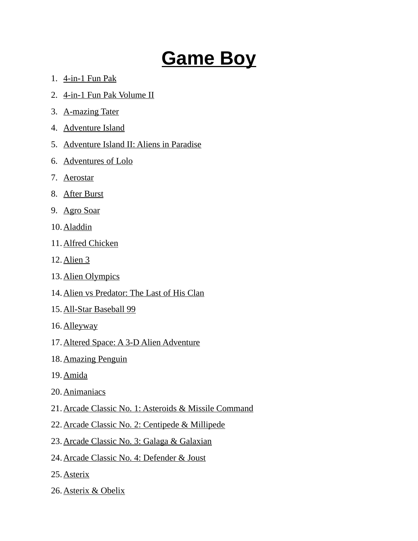## **Game Boy**

- 1. 4-in-1 Fun Pak
- 2. 4-in-1 Fun Pak Volume II
- 3. A-mazing Tater
- 4. Adventure Island
- 5. Adventure Island II: Aliens in Paradise
- 6. Adventures of Lolo
- 7. Aerostar
- 8. After Burst
- 9. Agro Soar
- 10. Aladdin
- 11. Alfred Chicken
- 12. Alien 3
- 13. Alien Olympics
- 14.Alien vs Predator: The Last of His Clan
- 15. All-Star Baseball 99
- 16. Alleyway
- 17.Altered Space: A 3-D Alien Adventure
- 18. Amazing Penguin
- 19. Amida
- 20. Animaniacs
- 21.Arcade Classic No. 1: Asteroids & Missile Command
- 22.Arcade Classic No. 2: Centipede & Millipede
- 23.Arcade Classic No. 3: Galaga & Galaxian
- 24.Arcade Classic No. 4: Defender & Joust
- 25. Asterix
- 26. Asterix & Obelix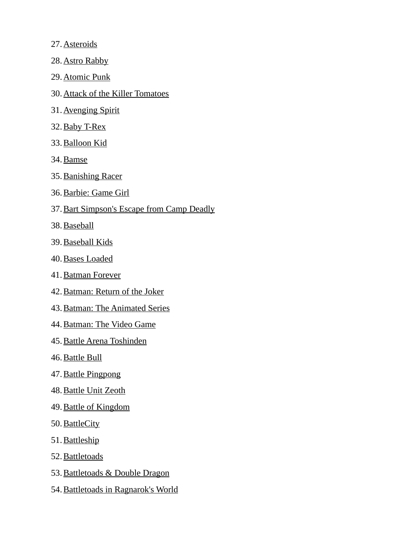- 27. Asteroids
- 28. Astro Rabby
- 29. Atomic Punk
- 30. Attack of the Killer Tomatoes
- 31. Avenging Spirit
- 32. Baby T-Rex
- 33. Balloon Kid
- 34. Bamse
- 35. Banishing Racer
- 36. Barbie: Game Girl
- 37.Bart Simpson's Escape from Camp Deadly
- 38. Baseball
- 39. Baseball Kids
- 40. Bases Loaded
- 41. Batman Forever
- 42. Batman: Return of the Joker
- 43. Batman: The Animated Series
- 44. Batman: The Video Game
- 45. Battle Arena Toshinden
- 46. Battle Bull
- 47. Battle Pingpong
- 48. Battle Unit Zeoth
- 49. Battle of Kingdom
- 50. BattleCity
- 51. Battleship
- 52. Battletoads
- 53. Battletoads & Double Dragon
- 54. Battletoads in Ragnarok's World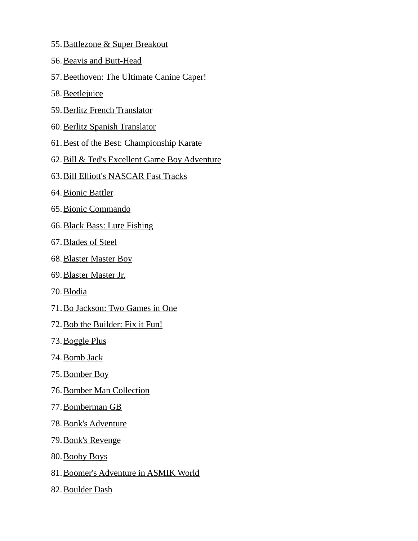- 55. Battlezone & Super Breakout
- 56. Beavis and Butt-Head
- 57.Beethoven: The Ultimate Canine Caper!
- 58. Beetlejuice
- 59. Berlitz French Translator
- 60. Berlitz Spanish Translator
- 61.Best of the Best: Championship Karate
- 62.Bill & Ted's Excellent Game Boy Adventure
- 63. Bill Elliott's NASCAR Fast Tracks
- 64. Bionic Battler
- 65. Bionic Commando
- 66. Black Bass: Lure Fishing
- 67. Blades of Steel
- 68. Blaster Master Boy
- 69. Blaster Master Jr.
- 70. Blodia
- 71. Bo Jackson: Two Games in One
- 72. Bob the Builder: Fix it Fun!
- 73. Boggle Plus
- 74. Bomb Jack
- 75. Bomber Boy
- 76. Bomber Man Collection
- 77. Bomberman GB
- 78. Bonk's Adventure
- 79. Bonk's Revenge
- 80. Booby Boys
- 81.Boomer's Adventure in ASMIK World
- 82. Boulder Dash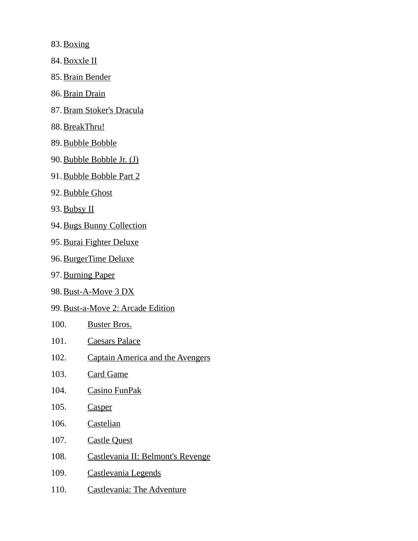83. Boxing

- 84. Boxxle II
- 85. Brain Bender
- 86. Brain Drain
- 87. Bram Stoker's Dracula
- 88. BreakThru!
- 89. Bubble Bobble
- 90. Bubble Bobble Jr. (J)
- 91. Bubble Bobble Part 2
- 92. Bubble Ghost
- 93. Bubsy II
- 94. Bugs Bunny Collection
- 95. Burai Fighter Deluxe
- 96. BurgerTime Deluxe
- 97. Burning Paper
- 98. Bust-A-Move 3 DX
- 99. Bust-a-Move 2: Arcade Edition
- 100. Buster Bros.
- 101. Caesars Palace
- 102. Captain America and the Avengers
- 103. Card Game
- 104. Casino FunPak
- 105. Casper
- 106. Castelian
- 107. Castle Quest
- 108. Castlevania II: Belmont's Revenge
- 109. Castlevania Legends
- 110. Castlevania: The Adventure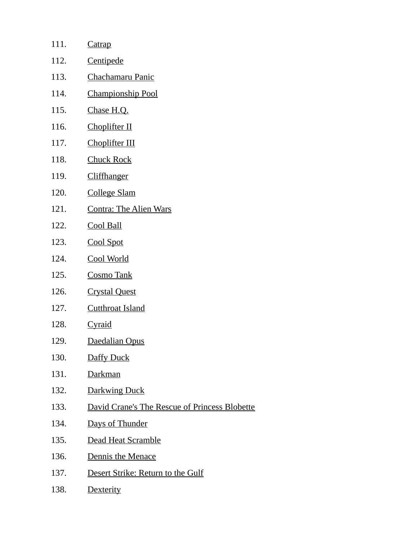| 111. | <b>Catrap</b>                                        |
|------|------------------------------------------------------|
| 112. | Centipede                                            |
| 113. | Chachamaru Panic                                     |
| 114. | <b>Championship Pool</b>                             |
| 115. | Chase H.Q.                                           |
| 116. | Choplifter II                                        |
| 117. | Choplifter III                                       |
| 118. | <b>Chuck Rock</b>                                    |
| 119. | Cliffhanger                                          |
| 120. | <b>College Slam</b>                                  |
| 121. | <b>Contra: The Alien Wars</b>                        |
| 122. | <b>Cool Ball</b>                                     |
| 123. | <b>Cool Spot</b>                                     |
| 124. | <b>Cool World</b>                                    |
| 125. | <b>Cosmo Tank</b>                                    |
| 126. | <b>Crystal Quest</b>                                 |
| 127. | <b>Cutthroat Island</b>                              |
| 128. | <b>Cyraid</b>                                        |
| 129. | Daedalian Opus                                       |
| 130. | Daffy Duck                                           |
| 131. | <u>Darkman</u>                                       |
| 132. | Darkwing Duck                                        |
| 133. | <b>David Crane's The Rescue of Princess Blobette</b> |
| 134. | Days of Thunder                                      |
| 135. | <b>Dead Heat Scramble</b>                            |
| 136. | Dennis the Menace                                    |
| 137. | Desert Strike: Return to the Gulf                    |

138. Dexterity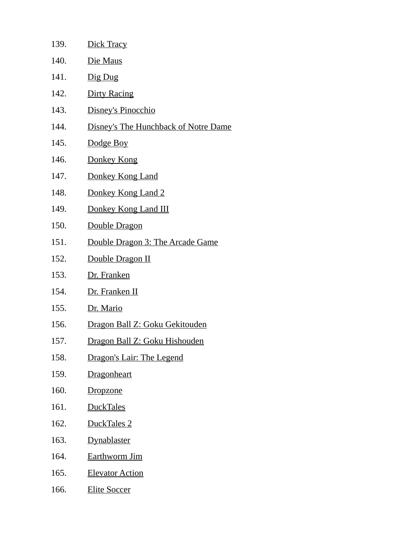| 139. | Dick Tracy                                  |
|------|---------------------------------------------|
| 140. | Die Maus                                    |
| 141. | Dig Dug                                     |
| 142. | <b>Dirty Racing</b>                         |
| 143. | Disney's Pinocchio                          |
| 144. | <b>Disney's The Hunchback of Notre Dame</b> |
| 145. | Dodge Boy                                   |
| 146. | Donkey Kong                                 |
| 147. | Donkey Kong Land                            |
| 148. | Donkey Kong Land 2                          |
| 149. | Donkey Kong Land III                        |
| 150. | Double Dragon                               |
| 151. | Double Dragon 3: The Arcade Game            |
| 152. | Double Dragon II                            |
| 153. | Dr. Franken                                 |
| 154. | Dr. Franken II                              |
| 155. | Dr. Mario                                   |
| 156. | Dragon Ball Z: Goku Gekitouden              |
| 157. | Dragon Ball Z: Goku Hishouden               |
| 158. | <b>Dragon's Lair: The Legend</b>            |
| 159. | Dragonheart                                 |
| 160. | <u>Dropzone</u>                             |
| 161. | DuckTales                                   |
| 162. | <u>DuckTales 2</u>                          |
| 163. | <b>Dynablaster</b>                          |
| 164. | <b>Earthworm Jim</b>                        |
| 165. | <b>Elevator Action</b>                      |
| 166. | <u>Elite Soccer</u>                         |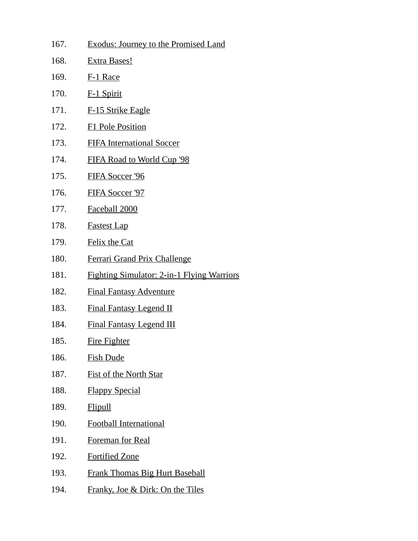167. Exodus: Journey to the Promised Land 168. Extra Bases! 169. F-1 Race 170. F-1 Spirit 171. F-15 Strike Eagle 172. F1 Pole Position 173. FIFA International Soccer 174. FIFA Road to World Cup '98 175. FIFA Soccer '96 176. FIFA Soccer '97 177. Faceball 2000 178. Fastest Lap 179. Felix the Cat 180. Ferrari Grand Prix Challenge 181. Fighting Simulator: 2-in-1 Flying Warriors 182. Final Fantasy Adventure 183. Final Fantasy Legend II 184. Final Fantasy Legend III 185. Fire Fighter 186. Fish Dude 187. Fist of the North Star 188. Flappy Special 189. Flipull 190. Football International 191. Foreman for Real 192. Fortified Zone 193. Frank Thomas Big Hurt Baseball 194. Franky, Joe & Dirk: On the Tiles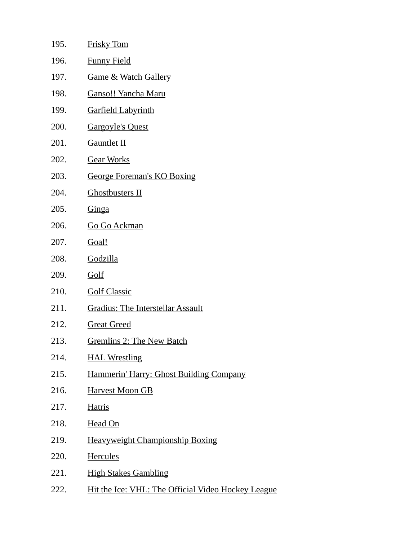| 195. | <b>Frisky Tom</b>                                  |
|------|----------------------------------------------------|
| 196. | <b>Funny Field</b>                                 |
| 197. | <b>Game &amp; Watch Gallery</b>                    |
| 198. | <b>Ganso!! Yancha Maru</b>                         |
| 199. | <b>Garfield Labyrinth</b>                          |
| 200. | <b>Gargoyle's Quest</b>                            |
| 201. | <b>Gauntlet II</b>                                 |
| 202. | <b>Gear Works</b>                                  |
| 203. | <b>George Foreman's KO Boxing</b>                  |
| 204. | <b>Ghostbusters II</b>                             |
| 205. | <b>Ginga</b>                                       |
| 206. | <b>Go Go Ackman</b>                                |
| 207. | Goal!                                              |
| 208. | Godzilla                                           |
| 209. | Golf                                               |
| 210. | <b>Golf Classic</b>                                |
| 211. | <b>Gradius: The Interstellar Assault</b>           |
| 212. | <b>Great Greed</b>                                 |
| 213. | <b>Gremlins 2: The New Batch</b>                   |
| 214. | <b>HAL Wrestling</b>                               |
| 215. | Hammerin' Harry: Ghost Building Company            |
| 216. | <b>Harvest Moon GB</b>                             |
| 217. | <b>Hatris</b>                                      |
| 218. | Head On                                            |
| 219. | <b>Heavyweight Championship Boxing</b>             |
| 220. | <b>Hercules</b>                                    |
| 221. | <b>High Stakes Gambling</b>                        |
| 222. | Hit the Ice: VHL: The Official Video Hockey League |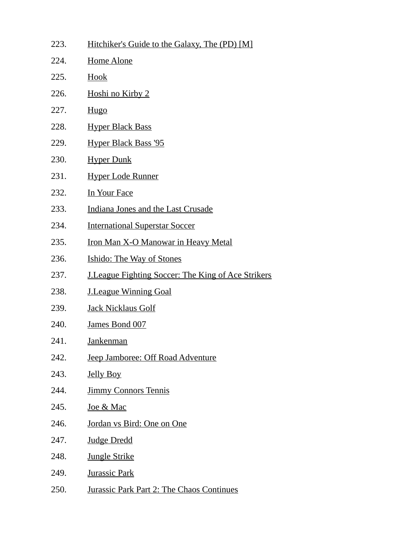| 223. | Hitchiker's Guide to the Galaxy, The (PD) [M]             |
|------|-----------------------------------------------------------|
| 224. | <b>Home Alone</b>                                         |
| 225. | Hook                                                      |
| 226. | <b>Hoshi no Kirby 2</b>                                   |
| 227. | Hugo                                                      |
| 228. | <u>Hyper Black Bass</u>                                   |
| 229. | <b>Hyper Black Bass '95</b>                               |
| 230. | <b>Hyper Dunk</b>                                         |
| 231. | <b>Hyper Lode Runner</b>                                  |
| 232. | <b>In Your Face</b>                                       |
| 233. | Indiana Jones and the Last Crusade                        |
| 234. | <b>International Superstar Soccer</b>                     |
| 235. | <b>Iron Man X-O Manowar in Heavy Metal</b>                |
| 236. | <b>Ishido: The Way of Stones</b>                          |
| 237. | <b>J.League Fighting Soccer: The King of Ace Strikers</b> |
| 238. | <b>J.League Winning Goal</b>                              |
| 239. | <b>Jack Nicklaus Golf</b>                                 |
| 240. | James Bond 007                                            |
| 241. | Jankenman                                                 |
| 242. | Jeep Jamboree: Off Road Adventure                         |
| 243. | <b>Jelly Boy</b>                                          |
| 244. | <b>Jimmy Connors Tennis</b>                               |
| 245. | <u>Joe &amp; Mac</u>                                      |
| 246. | Jordan vs Bird: One on One                                |
| 247. | <b>Judge Dredd</b>                                        |
| 248. | <b>Jungle Strike</b>                                      |
| 249. | <b>Jurassic Park</b>                                      |
| 250. | <b>Jurassic Park Part 2: The Chaos Continues</b>          |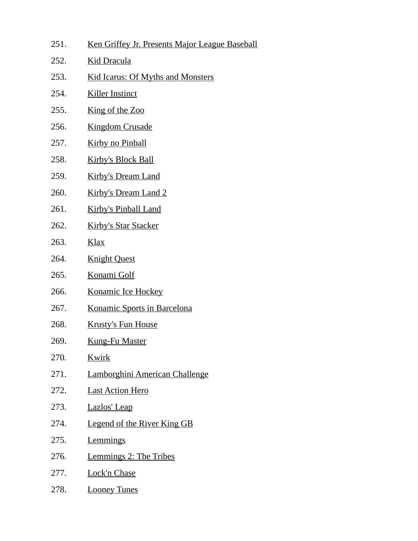| 251. | Ken Griffey Jr. Presents Major League Baseball |
|------|------------------------------------------------|
| 252. | <b>Kid Dracula</b>                             |
| 253. | <b>Kid Icarus: Of Myths and Monsters</b>       |
| 254. | <b>Killer Instinct</b>                         |
| 255. | King of the Zoo                                |
| 256. | <b>Kingdom Crusade</b>                         |
| 257. | <b>Kirby no Pinball</b>                        |
| 258. | <b>Kirby's Block Ball</b>                      |
| 259. | <b>Kirby's Dream Land</b>                      |
| 260. | <b>Kirby's Dream Land 2</b>                    |
| 261. | <b>Kirby's Pinball Land</b>                    |
| 262. | <b>Kirby's Star Stacker</b>                    |
| 263. | <u>Klax</u>                                    |
| 264. | <b>Knight Quest</b>                            |
| 265. | <b>Konami Golf</b>                             |
| 266. | <b>Konamic Ice Hockey</b>                      |
| 267. | Konamic Sports in Barcelona                    |
| 268. | <b>Krusty's Fun House</b>                      |
| 269. | <b>Kung-Fu Master</b>                          |
| 270. | <u>Kwirk</u>                                   |
| 271. | Lamborghini American Challenge                 |
| 272. | <b>Last Action Hero</b>                        |
| 273. | Lazlos' Leap                                   |
| 274. | <b>Legend of the River King GB</b>             |
| 275. | <b>Lemmings</b>                                |
| 276. | <b>Lemmings 2: The Tribes</b>                  |
| 277. | <b>Lock'n Chase</b>                            |
| 278. | <b>Looney Tunes</b>                            |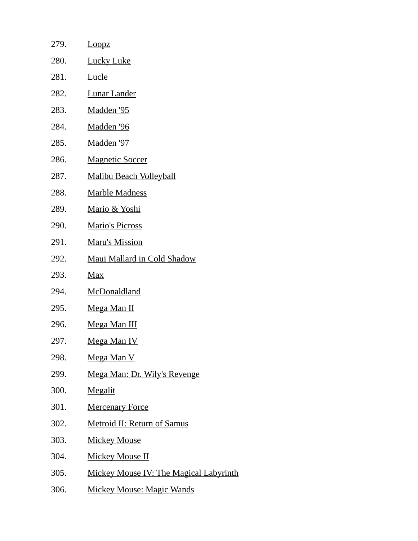| 279. | Loopz                                         |
|------|-----------------------------------------------|
| 280. | <b>Lucky Luke</b>                             |
| 281. | <b>Lucle</b>                                  |
| 282. | <b>Lunar Lander</b>                           |
| 283. | <u>Madden '95</u>                             |
| 284. | Madden '96                                    |
| 285. | Madden '97                                    |
| 286. | <b>Magnetic Soccer</b>                        |
| 287. | <b>Malibu Beach Volleyball</b>                |
| 288. | <b>Marble Madness</b>                         |
| 289. | <u>Mario &amp; Yoshi</u>                      |
| 290. | <b>Mario's Picross</b>                        |
| 291. | <b>Maru's Mission</b>                         |
| 292. | <b>Maui Mallard in Cold Shadow</b>            |
| 293. | Max                                           |
| 294. | <b>McDonaldland</b>                           |
| 295. | <u>Mega Man II</u>                            |
| 296. | <u>Mega Man III</u>                           |
| 297. | <u>Mega Man IV</u>                            |
| 298. | Mega Man V                                    |
| 299. | Mega Man: Dr. Wily's Revenge                  |
| 300. | <b>Megalit</b>                                |
| 301. | <b>Mercenary Force</b>                        |
| 302. | <b>Metroid II: Return of Samus</b>            |
| 303. | <b>Mickey Mouse</b>                           |
| 304. | <u>Mickey Mouse II</u>                        |
| 305. | <b>Mickey Mouse IV: The Magical Labyrinth</b> |
| 306. | <b>Mickey Mouse: Magic Wands</b>              |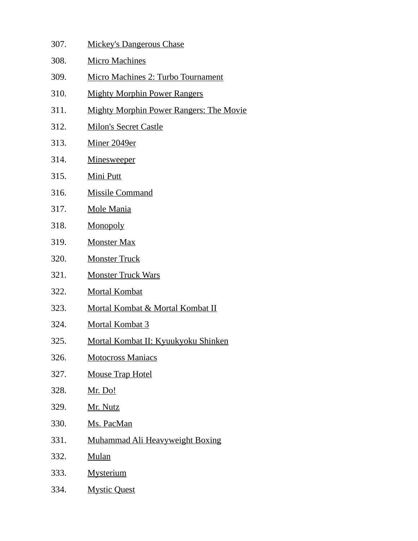| 307. | <b>Mickey's Dangerous Chase</b>                |
|------|------------------------------------------------|
| 308. | <b>Micro Machines</b>                          |
| 309. | <b>Micro Machines 2: Turbo Tournament</b>      |
| 310. | <b>Mighty Morphin Power Rangers</b>            |
| 311. | <b>Mighty Morphin Power Rangers: The Movie</b> |
| 312. | <b>Milon's Secret Castle</b>                   |
| 313. | Miner 2049er                                   |
| 314. | <u>Minesweeper</u>                             |
| 315. | <b>Mini Putt</b>                               |
| 316. | <b>Missile Command</b>                         |
| 317. | <b>Mole Mania</b>                              |
| 318. | Monopoly                                       |
| 319. | <b>Monster Max</b>                             |
| 320. | <b>Monster Truck</b>                           |
| 321. | <b>Monster Truck Wars</b>                      |
| 322. | <b>Mortal Kombat</b>                           |
| 323. | <b>Mortal Kombat &amp; Mortal Kombat II</b>    |
| 324. | Mortal Kombat 3                                |
| 325. | <u> Mortal Kombat II: Kyuukyoku Shinken</u>    |
| 326. | <b>Motocross Maniacs</b>                       |
| 327. | <b>Mouse Trap Hotel</b>                        |
| 328. | <u>Mr. Do!</u>                                 |
| 329. | Mr. Nutz                                       |
| 330. | Ms. PacMan                                     |
| 331. | <b>Muhammad Ali Heavyweight Boxing</b>         |
| 332. | <b>Mulan</b>                                   |
| 333. | <b>Mysterium</b>                               |
| 334. | <b>Mystic Quest</b>                            |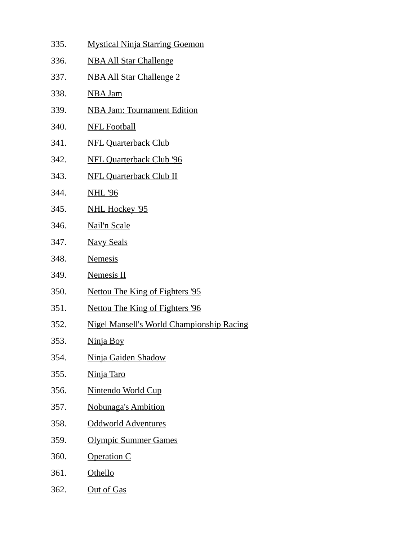335. Mystical Ninja Starring Goemon 336. NBA All Star Challenge 337. NBA All Star Challenge 2 338. NBA Jam 339. NBA Jam: Tournament Edition 340. NFL Football 341. NFL Quarterback Club 342. NFL Quarterback Club '96 343. NFL Quarterback Club II 344. NHL '96 345. NHL Hockey '95 346. Nail'n Scale 347. Navy Seals 348. Nemesis 349. Nemesis II 350. Nettou The King of Fighters '95 351. Nettou The King of Fighters '96 352. Nigel Mansell's World Championship Racing 353. Ninja Boy 354. Ninja Gaiden Shadow 355. Ninja Taro 356. Nintendo World Cup 357. Nobunaga's Ambition 358. Oddworld Adventures 359. Olympic Summer Games 360. Operation C 361. Othello 362. Out of Gas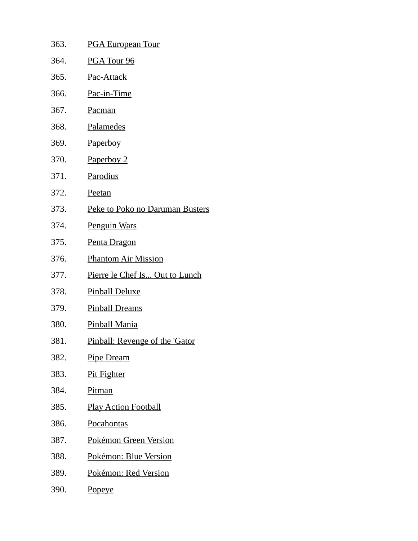363. PGA European Tour 364. PGA Tour 96 365. Pac-Attack 366. Pac-in-Time 367. Pacman 368. Palamedes 369. Paperboy 370. Paperboy 2 371. Parodius 372. Peetan 373. Peke to Poko no Daruman Busters 374. Penguin Wars 375. Penta Dragon 376. Phantom Air Mission 377. Pierre le Chef Is... Out to Lunch 378. Pinball Deluxe 379. Pinball Dreams 380. Pinball Mania 381. Pinball: Revenge of the 'Gator 382. Pipe Dream 383. Pit Fighter 384. Pitman 385. Play Action Football 386. Pocahontas 387. Pokémon Green Version 388. Pokémon: Blue Version 389. Pokémon: Red Version 390. Popeye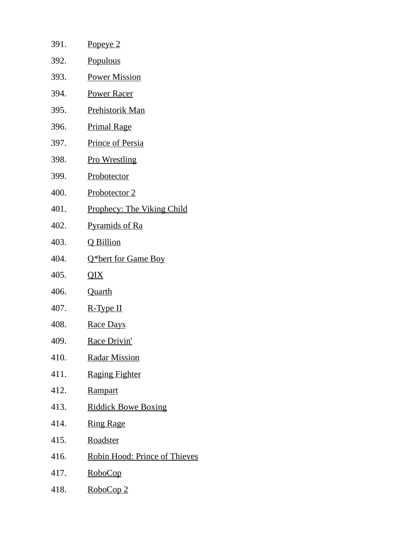| 391. | <u>Popeye 2</u>                   |
|------|-----------------------------------|
| 392. | <b>Populous</b>                   |
| 393. | <b>Power Mission</b>              |
| 394. | <u>Power Racer</u>                |
| 395. | <u>Prehistorik Man</u>            |
| 396. | <b>Primal Rage</b>                |
| 397. | <b>Prince of Persia</b>           |
| 398. | <b>Pro Wrestling</b>              |
| 399. | Probotector                       |
| 400. | <u>Probotector 2</u>              |
| 401. | <b>Prophecy: The Viking Child</b> |
| 402. | <b>Pyramids of Ra</b>             |
| 403. | Q Billion                         |
| 404. | Q*bert for Game Boy               |
| 405. | QIX                               |
| 406. | <b>Quarth</b>                     |
| 407. | R-Type II                         |
| 408. | Race Days                         |
| 409. | Race Drivin'                      |
| 410. | <b>Radar Mission</b>              |
| 411. | <b>Raging Fighter</b>             |
| 412. | <b>Rampart</b>                    |
| 413. | <b>Riddick Bowe Boxing</b>        |
| 414. | <b>Ring Rage</b>                  |
| 415. | <b>Roadster</b>                   |
| 416. | Robin Hood: Prince of Thieves     |
| 417. | <u>RoboCop</u>                    |
| 418. | RoboCop 2                         |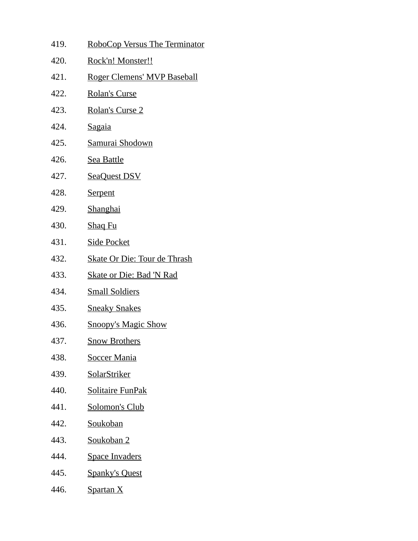| 419. | RoboCop Versus The Terminator       |
|------|-------------------------------------|
| 420. | Rock'n! Monster!!                   |
| 421. | Roger Clemens' MVP Baseball         |
| 422. | <b>Rolan's Curse</b>                |
| 423. | Rolan's Curse 2                     |
| 424. | <b>Sagaia</b>                       |
| 425. | Samurai Shodown                     |
| 426. | <b>Sea Battle</b>                   |
| 427. | <b>SeaQuest DSV</b>                 |
| 428. | <b>Serpent</b>                      |
| 429. | <b>Shanghai</b>                     |
| 430. | <b>Shaq Fu</b>                      |
| 431. | <u>Side Pocket</u>                  |
| 432. | <b>Skate Or Die: Tour de Thrash</b> |
| 433. | <u> Skate or Die: Bad 'N Rad</u>    |
| 434. | <b>Small Soldiers</b>               |
| 435. | <b>Sneaky Snakes</b>                |
| 436. | <b>Snoopy's Magic Show</b>          |
| 437. | <u>Snow Brothers</u>                |
| 438. | <u>Soccer Mania</u>                 |
| 439. | SolarStriker                        |
| 440. | Solitaire FunPak                    |
| 441. | <b>Solomon's Club</b>               |
| 442. | <b>Soukoban</b>                     |
| 443. | Soukoban 2                          |
| 444. | <b>Space Invaders</b>               |
| 445. | <u>Spanky's Quest</u>               |
| 446. | <b>Spartan X</b>                    |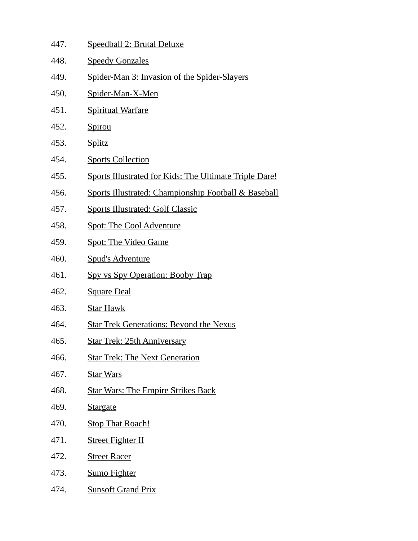- 447. Speedball 2: Brutal Deluxe
- 448. Speedy Gonzales
- 449. Spider-Man 3: Invasion of the Spider-Slayers
- 450. Spider-Man-X-Men
- 451. Spiritual Warfare
- 452. Spirou
- 453. Splitz
- 454. Sports Collection
- 455. Sports Illustrated for Kids: The Ultimate Triple Dare!
- 456. Sports Illustrated: Championship Football & Baseball
- 457. Sports Illustrated: Golf Classic
- 458. Spot: The Cool Adventure
- 459. Spot: The Video Game
- 460. Spud's Adventure
- 461. Spy vs Spy Operation: Booby Trap
- 462. Square Deal
- 463. Star Hawk
- 464. Star Trek Generations: Beyond the Nexus
- 465. Star Trek: 25th Anniversary
- 466. Star Trek: The Next Generation
- 467. Star Wars
- 468. Star Wars: The Empire Strikes Back
- 469. Stargate
- 470. Stop That Roach!
- 471. Street Fighter II
- 472. Street Racer
- 473. Sumo Fighter
- 474. Sunsoft Grand Prix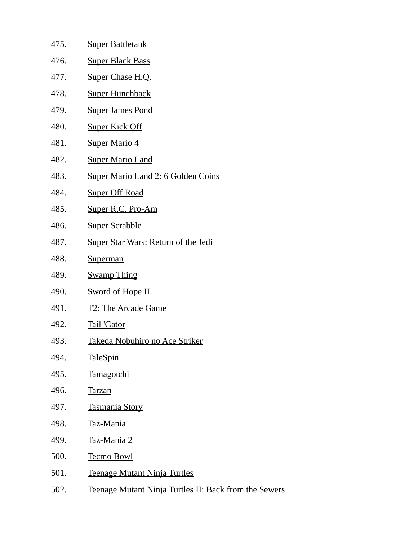| 475. | <b>Super Battletank</b>                               |
|------|-------------------------------------------------------|
| 476. | <b>Super Black Bass</b>                               |
| 477. | Super Chase H.Q.                                      |
| 478. | <b>Super Hunchback</b>                                |
| 479. | <b>Super James Pond</b>                               |
| 480. | <b>Super Kick Off</b>                                 |
| 481. | <b>Super Mario 4</b>                                  |
| 482. | <b>Super Mario Land</b>                               |
| 483. | <b>Super Mario Land 2: 6 Golden Coins</b>             |
| 484. | <b>Super Off Road</b>                                 |
| 485. | Super R.C. Pro-Am                                     |
| 486. | <b>Super Scrabble</b>                                 |
| 487. | <b>Super Star Wars: Return of the Jedi</b>            |
| 488. | <b>Superman</b>                                       |
| 489. | <b>Swamp Thing</b>                                    |
| 490. | <b>Sword of Hope II</b>                               |
| 491. | <b>T2: The Arcade Game</b>                            |
| 492. | <b>Tail 'Gator</b>                                    |
| 493. | Takeda Nobuhiro no Ace Striker                        |
| 494. | <b>TaleSpin</b>                                       |
| 495. | <b>Tamagotchi</b>                                     |
| 496. | <b>Tarzan</b>                                         |
| 497. | <b>Tasmania Story</b>                                 |
| 498. | <b>Taz-Mania</b>                                      |
| 499. | Taz-Mania 2                                           |
| 500. | <b>Tecmo Bowl</b>                                     |
| 501. | <b>Teenage Mutant Ninja Turtles</b>                   |
| 502. | Teenage Mutant Ninja Turtles II: Back from the Sewers |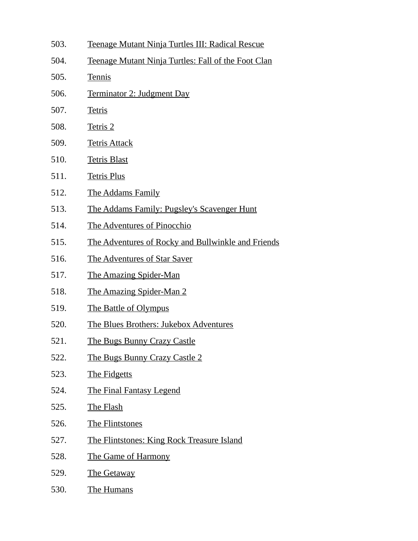503. Teenage Mutant Ninja Turtles III: Radical Rescue 504. Teenage Mutant Ninja Turtles: Fall of the Foot Clan 505. Tennis 506. Terminator 2: Judgment Day 507. Tetris 508. Tetris 2 509. Tetris Attack 510. Tetris Blast 511. Tetris Plus 512. The Addams Family 513. The Addams Family: Pugsley's Scavenger Hunt 514. The Adventures of Pinocchio 515. The Adventures of Rocky and Bullwinkle and Friends 516. The Adventures of Star Saver 517. The Amazing Spider-Man 518. The Amazing Spider-Man 2 519. The Battle of Olympus 520. The Blues Brothers: Jukebox Adventures 521. The Bugs Bunny Crazy Castle 522. The Bugs Bunny Crazy Castle 2 523. The Fidgetts 524. The Final Fantasy Legend 525. The Flash 526. The Flintstones 527. The Flintstones: King Rock Treasure Island 528. The Game of Harmony 529. The Getaway 530. The Humans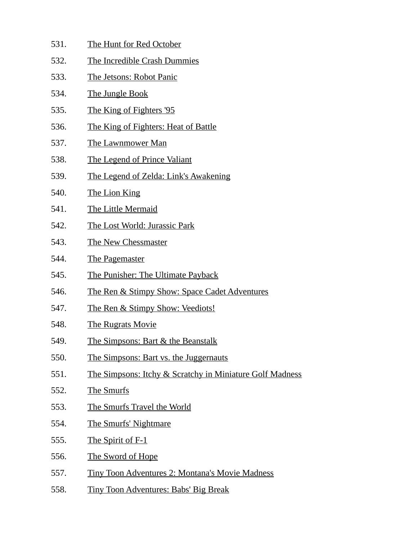- 531. The Hunt for Red October
- 532. The Incredible Crash Dummies
- 533. The Jetsons: Robot Panic
- 534. The Jungle Book
- 535. The King of Fighters '95
- 536. The King of Fighters: Heat of Battle
- 537. The Lawnmower Man
- 538. The Legend of Prince Valiant
- 539. The Legend of Zelda: Link's Awakening
- 540. The Lion King
- 541. The Little Mermaid
- 542. The Lost World: Jurassic Park
- 543. The New Chessmaster
- 544. The Pagemaster
- 545. The Punisher: The Ultimate Payback
- 546. The Ren & Stimpy Show: Space Cadet Adventures
- 547. The Ren & Stimpy Show: Veediots!
- 548. The Rugrats Movie
- 549. The Simpsons: Bart & the Beanstalk
- 550. The Simpsons: Bart vs. the Juggernauts
- 551. The Simpsons: Itchy & Scratchy in Miniature Golf Madness
- 552. The Smurfs
- 553. The Smurfs Travel the World
- 554. The Smurfs' Nightmare
- 555. The Spirit of F-1
- 556. The Sword of Hope
- 557. Tiny Toon Adventures 2: Montana's Movie Madness
- 558. Tiny Toon Adventures: Babs' Big Break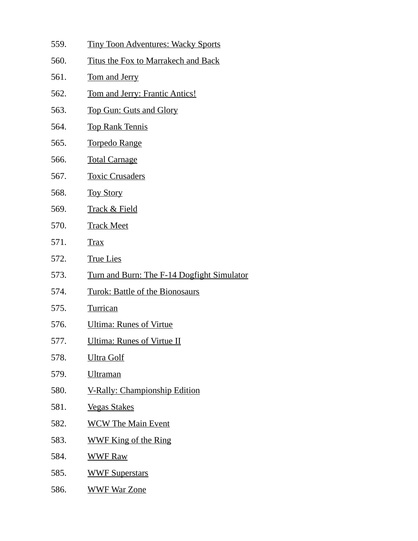- 559. Tiny Toon Adventures: Wacky Sports
- 560. Titus the Fox to Marrakech and Back
- 561. Tom and Jerry
- 562. Tom and Jerry: Frantic Antics!
- 563. Top Gun: Guts and Glory
- 564. Top Rank Tennis
- 565. Torpedo Range
- 566. Total Carnage
- 567. Toxic Crusaders
- 568. Toy Story
- 569. Track & Field
- 570. Track Meet
- 571. Trax
- 572. True Lies
- 573. Turn and Burn: The F-14 Dogfight Simulator
- 574. Turok: Battle of the Bionosaurs
- 575. Turrican
- 576. Ultima: Runes of Virtue
- 577. Ultima: Runes of Virtue II
- 578. Ultra Golf
- 579. Ultraman
- 580. V-Rally: Championship Edition
- 581. Vegas Stakes
- 582. WCW The Main Event
- 583. WWF King of the Ring
- 584. WWF Raw
- 585. WWF Superstars
- 586. WWF War Zone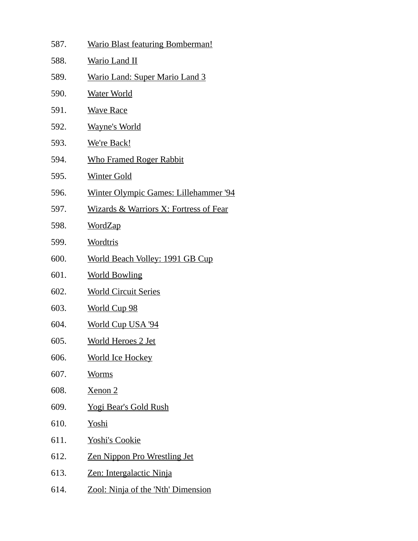| 587. | <b>Wario Blast featuring Bomberman!</b>           |
|------|---------------------------------------------------|
| 588. | <b>Wario Land II</b>                              |
| 589. | <b>Wario Land: Super Mario Land 3</b>             |
| 590. | <u>Water World</u>                                |
| 591. | <b>Wave Race</b>                                  |
| 592. | <b>Wayne's World</b>                              |
| 593. | <u>We're Back!</u>                                |
| 594. | <b>Who Framed Roger Rabbit</b>                    |
| 595. | <b>Winter Gold</b>                                |
| 596. | <u> Winter Olympic Games: Lillehammer '94</u>     |
| 597. | <u>Wizards &amp; Warriors X: Fortress of Fear</u> |
| 598. | <u>WordZap</u>                                    |
| 599. | <b>Wordtris</b>                                   |
| 600. | <b>World Beach Volley: 1991 GB Cup</b>            |
| 601. | <b>World Bowling</b>                              |
| 602. | <b>World Circuit Series</b>                       |
| 603. | <b>World Cup 98</b>                               |
| 604. | World Cup USA '94                                 |
| 605. | <b>World Heroes 2 Jet</b>                         |
| 606. | <b>World Ice Hockey</b>                           |
| 607. | <b>Worms</b>                                      |
| 608. | Xenon <sub>2</sub>                                |
| 609. | <b>Yogi Bear's Gold Rush</b>                      |
| 610. | Yoshi                                             |
| 611. | <b>Yoshi's Cookie</b>                             |
| 612. | <b>Zen Nippon Pro Wrestling Jet</b>               |
| 613. | Zen: Intergalactic Ninja                          |
| 614. | Zool: Ninja of the 'Nth' Dimension                |